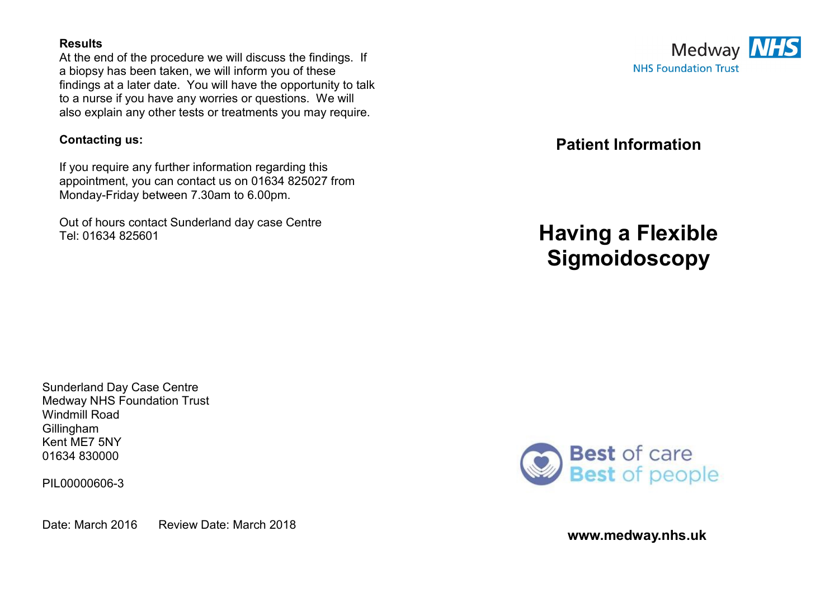#### **Results**

At the end of the procedure we will discuss the findings. If a biopsy has been taken, we will inform you of these findings at a later date. You will have the opportunity to talk to a nurse if you have any worries or questions. We will also explain any other tests or treatments you may require.

#### **Contacting us:**

If you require any further information regarding this appointment, you can contact us on 01634 825027 from Monday-Friday between 7.30am to 6.00pm.

Out of hours contact Sunderland day case Centre Tel: 01634 825601



**Patient Information** 

# **Having a Flexible Sigmoidoscopy**

Sunderland Day Case Centre Medway NHS Foundation Trust Windmill Road Gillingham Kent ME7 5NY 01634 830000

PIL00000606-3

Date: March 2016 Review Date: March 2018



**www.medway.nhs.uk**